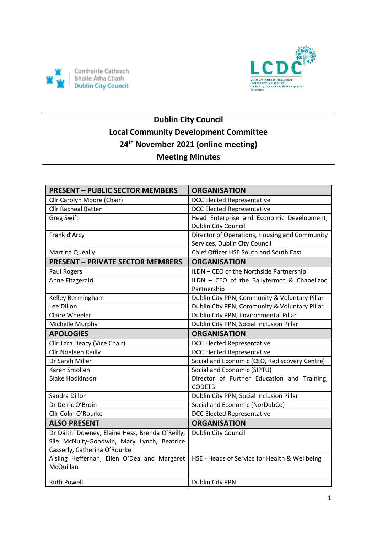



# **Dublin City Council Local Community Development Committee 24th November 2021 (online meeting) Meeting Minutes**

| <b>PRESENT - PUBLIC SECTOR MEMBERS</b>          | <b>ORGANISATION</b>                           |
|-------------------------------------------------|-----------------------------------------------|
| Cllr Carolyn Moore (Chair)                      | <b>DCC Elected Representative</b>             |
| <b>Cllr Racheal Batten</b>                      | <b>DCC Elected Representative</b>             |
| <b>Greg Swift</b>                               | Head Enterprise and Economic Development,     |
|                                                 | Dublin City Council                           |
| Frank d'Arcy                                    | Director of Operations, Housing and Community |
|                                                 | Services, Dublin City Council                 |
| Martina Queally                                 | Chief Officer HSE South and South East        |
| <b>PRESENT - PRIVATE SECTOR MEMBERS</b>         | <b>ORGANISATION</b>                           |
| Paul Rogers                                     | ILDN - CEO of the Northside Partnership       |
| Anne Fitzgerald                                 | ILDN - CEO of the Ballyfermot & Chapelizod    |
|                                                 | Partnership                                   |
| Kelley Bermingham                               | Dublin City PPN, Community & Voluntary Pillar |
| Lee Dillon                                      | Dublin City PPN, Community & Voluntary Pillar |
| <b>Claire Wheeler</b>                           | Dublin City PPN, Environmental Pillar         |
| Michelle Murphy                                 | Dublin City PPN, Social Inclusion Pillar      |
| <b>APOLOGIES</b>                                | <b>ORGANISATION</b>                           |
| Cllr Tara Deacy (Vice Chair)                    | <b>DCC Elected Representative</b>             |
| Cllr Noeleen Reilly                             | <b>DCC Elected Representative</b>             |
| Dr Sarah Miller                                 | Social and Economic (CEO, Rediscovery Centre) |
| Karen Smollen                                   | Social and Economic (SIPTU)                   |
| <b>Blake Hodkinson</b>                          | Director of Further Education and Training,   |
|                                                 | <b>CODETB</b>                                 |
| Sandra Dillon                                   | Dublin City PPN, Social Inclusion Pillar      |
| Dr Deiric O'Broin                               | Social and Economic (NorDubCo)                |
| Cllr Colm O'Rourke                              | <b>DCC Elected Representative</b>             |
| <b>ALSO PRESENT</b>                             | <b>ORGANISATION</b>                           |
| Dr Dáithí Downey, Elaine Hess, Brenda O'Reilly, | Dublin City Council                           |
| Síle McNulty-Goodwin, Mary Lynch, Beatrice      |                                               |
| Casserly, Catherina O'Rourke                    |                                               |
| Aisling Heffernan, Ellen O'Dea and Margaret     | HSE - Heads of Service for Health & Wellbeing |
| McQuillan                                       |                                               |
| <b>Ruth Powell</b>                              | Dublin City PPN                               |
|                                                 |                                               |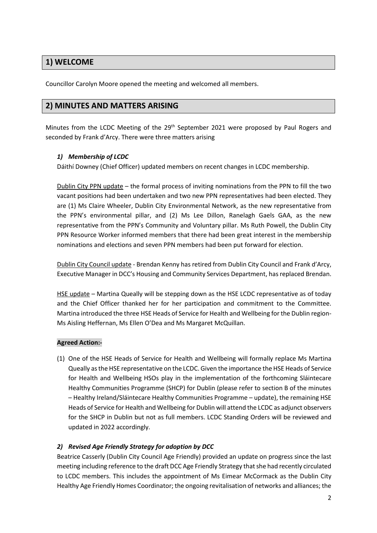# **1) WELCOME**

Councillor Carolyn Moore opened the meeting and welcomed all members.

### **2) MINUTES AND MATTERS ARISING**

Minutes from the LCDC Meeting of the  $29<sup>th</sup>$  September 2021 were proposed by Paul Rogers and seconded by Frank d'Arcy. There were three matters arising

#### *1) Membership of LCDC*

Dáithí Downey (Chief Officer) updated members on recent changes in LCDC membership.

Dublin City PPN update – the formal process of inviting nominations from the PPN to fill the two vacant positions had been undertaken and two new PPN representatives had been elected. They are (1) Ms Claire Wheeler, Dublin City Environmental Network, as the new representative from the PPN's environmental pillar, and (2) Ms Lee Dillon, Ranelagh Gaels GAA, as the new representative from the PPN's Community and Voluntary pillar. Ms Ruth Powell, the Dublin City PPN Resource Worker informed members that there had been great interest in the membership nominations and elections and seven PPN members had been put forward for election.

Dublin City Council update - Brendan Kenny has retired from Dublin City Council and Frank d'Arcy, Executive Manager in DCC's Housing and Community Services Department, has replaced Brendan.

HSE update - Martina Queally will be stepping down as the HSE LCDC representative as of today and the Chief Officer thanked her for her participation and commitment to the Committee. Martina introduced the three HSE Heads of Service for Health and Wellbeing for the Dublin region-Ms Aisling Heffernan, Ms Ellen O'Dea and Ms Margaret McQuillan.

#### **Agreed Action:-**

(1) One of the HSE Heads of Service for Health and Wellbeing will formally replace Ms Martina Queally as the HSE representative on the LCDC. Given the importance the HSE Heads of Service for Health and Wellbeing HSOs play in the implementation of the forthcoming Sláintecare Healthy Communities Programme (SHCP) for Dublin (please refer to section B of the minutes – Healthy Ireland/Sláintecare Healthy Communities Programme – update), the remaining HSE Heads of Service for Health and Wellbeing for Dublin will attend the LCDC as adjunct observers for the SHCP in Dublin but not as full members. LCDC Standing Orders will be reviewed and updated in 2022 accordingly.

#### *2) Revised Age Friendly Strategy for adoption by DCC*

Beatrice Casserly (Dublin City Council Age Friendly) provided an update on progress since the last meeting including reference to the draft DCC Age Friendly Strategy that she had recently circulated to LCDC members. This includes the appointment of Ms Eimear McCormack as the Dublin City Healthy Age Friendly Homes Coordinator; the ongoing revitalisation of networks and alliances; the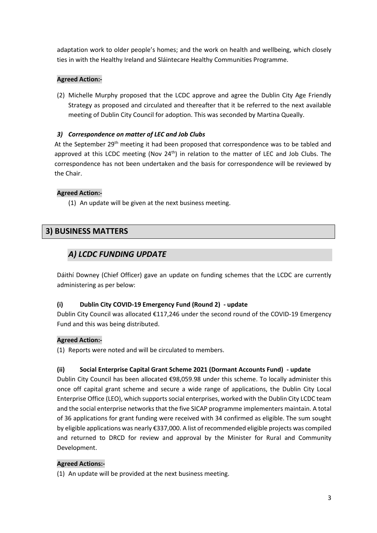adaptation work to older people's homes; and the work on health and wellbeing, which closely ties in with the Healthy Ireland and Sláintecare Healthy Communities Programme.

#### **Agreed Action:-**

(2) Michelle Murphy proposed that the LCDC approve and agree the Dublin City Age Friendly Strategy as proposed and circulated and thereafter that it be referred to the next available meeting of Dublin City Council for adoption. This was seconded by Martina Queally.

#### *3) Correspondence on matter of LEC and Job Clubs*

At the September 29<sup>th</sup> meeting it had been proposed that correspondence was to be tabled and approved at this LCDC meeting (Nov  $24<sup>th</sup>$ ) in relation to the matter of LEC and Job Clubs. The correspondence has not been undertaken and the basis for correspondence will be reviewed by the Chair.

#### **Agreed Action:-**

(1) An update will be given at the next business meeting.

## **3) BUSINESS MATTERS**

## *A) LCDC FUNDING UPDATE*

Dáithí Downey (Chief Officer) gave an update on funding schemes that the LCDC are currently administering as per below:

#### **(i) Dublin City COVID-19 Emergency Fund (Round 2) - update**

Dublin City Council was allocated €117,246 under the second round of the COVID-19 Emergency Fund and this was being distributed.

#### **Agreed Action:-**

(1) Reports were noted and will be circulated to members.

### **(ii) Social Enterprise Capital Grant Scheme 2021 (Dormant Accounts Fund) - update**

Dublin City Council has been allocated €98,059.98 under this scheme. To locally administer this once off capital grant scheme and secure a wide range of applications, the Dublin City Local Enterprise Office (LEO), which supports social enterprises, worked with the Dublin City LCDC team and the social enterprise networks that the five SICAP programme implementers maintain. A total of 36 applications for grant funding were received with 34 confirmed as eligible. The sum sought by eligible applications was nearly €337,000. A list of recommended eligible projects was compiled and returned to DRCD for review and approval by the Minister for Rural and Community Development.

#### **Agreed Actions:-**

(1) An update will be provided at the next business meeting.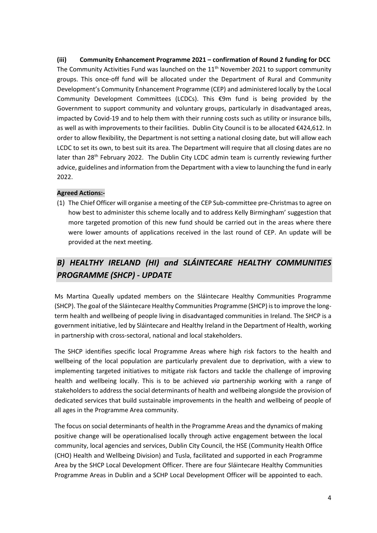**(iii) Community Enhancement Programme 2021 – confirmation of Round 2 funding for DCC**  The Community Activities Fund was launched on the  $11<sup>th</sup>$  November 2021 to support community groups. This once-off fund will be allocated under the Department of Rural and Community Development's Community Enhancement Programme (CEP) and administered locally by the Local Community Development Committees (LCDCs). This €9m fund is being provided by the Government to support community and voluntary groups, particularly in disadvantaged areas, impacted by Covid-19 and to help them with their running costs such as utility or insurance bills, as well as with improvements to their facilities. Dublin City Council is to be allocated €424,612. In order to allow flexibility, the Department is not setting a national closing date, but will allow each LCDC to set its own, to best suit its area. The Department will require that all closing dates are no later than 28<sup>th</sup> February 2022. The Dublin City LCDC admin team is currently reviewing further advice, guidelines and information from the Department with a view to launching the fund in early 2022.

#### **Agreed Actions:-**

(1) The Chief Officer will organise a meeting of the CEP Sub-committee pre-Christmas to agree on how best to administer this scheme locally and to address Kelly Birmingham' suggestion that more targeted promotion of this new fund should be carried out in the areas where there were lower amounts of applications received in the last round of CEP. An update will be provided at the next meeting.

# *B) HEALTHY IRELAND (HI) and SLÁINTECARE HEALTHY COMMUNITIES PROGRAMME (SHCP) - UPDATE*

Ms Martina Queally updated members on the Sláintecare Healthy Communities Programme (SHCP). The goal of the Sláintecare Healthy Communities Programme (SHCP) is to improve the longterm health and wellbeing of people living in disadvantaged communities in Ireland. The SHCP is a government initiative, led by Sláintecare and Healthy Ireland in the Department of Health, working in partnership with cross-sectoral, national and local stakeholders.

The SHCP identifies specific local Programme Areas where high risk factors to the health and wellbeing of the local population are particularly prevalent due to deprivation, with a view to implementing targeted initiatives to mitigate risk factors and tackle the challenge of improving health and wellbeing locally. This is to be achieved *via* partnership working with a range of stakeholders to address the social determinants of health and wellbeing alongside the provision of dedicated services that build sustainable improvements in the health and wellbeing of people of all ages in the Programme Area community.

The focus on social determinants of health in the Programme Areas and the dynamics of making positive change will be operationalised locally through active engagement between the local community, local agencies and services, Dublin City Council, the HSE (Community Health Office (CHO) Health and Wellbeing Division) and Tusla, facilitated and supported in each Programme Area by the SHCP Local Development Officer. There are four Sláintecare Healthy Communities Programme Areas in Dublin and a SCHP Local Development Officer will be appointed to each.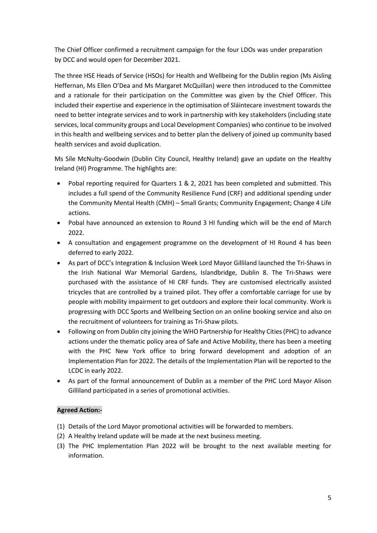The Chief Officer confirmed a recruitment campaign for the four LDOs was under preparation by DCC and would open for December 2021.

The three HSE Heads of Service (HSOs) for Health and Wellbeing for the Dublin region (Ms Aisling Heffernan, Ms Ellen O'Dea and Ms Margaret McQuillan) were then introduced to the Committee and a rationale for their participation on the Committee was given by the Chief Officer. This included their expertise and experience in the optimisation of Sláintecare investment towards the need to better integrate services and to work in partnership with key stakeholders (including state services, local community groups and Local Development Companies) who continue to be involved in this health and wellbeing services and to better plan the delivery of joined up community based health services and avoid duplication.

Ms Síle McNulty-Goodwin (Dublin City Council, Healthy Ireland) gave an update on the Healthy Ireland (HI) Programme. The highlights are:

- Pobal reporting required for Quarters 1 & 2, 2021 has been completed and submitted. This includes a full spend of the Community Resilience Fund (CRF) and additional spending under the Community Mental Health (CMH) – Small Grants; Community Engagement; Change 4 Life actions.
- Pobal have announced an extension to Round 3 HI funding which will be the end of March 2022.
- A consultation and engagement programme on the development of HI Round 4 has been deferred to early 2022.
- As part of DCC's Integration & Inclusion Week Lord Mayor Gilliland launched the Tri-Shaws in the Irish National War Memorial Gardens, Islandbridge, Dublin 8. The Tri-Shaws were purchased with the assistance of HI CRF funds. They are customised electrically assisted tricycles that are controlled by a trained pilot. They offer a comfortable carriage for use by people with mobility impairment to get outdoors and explore their local community. Work is progressing with DCC Sports and Wellbeing Section on an online booking service and also on the recruitment of volunteers for training as Tri-Shaw pilots.
- Following on from Dublin city joining the WHO Partnership for Healthy Cities (PHC) to advance actions under the thematic policy area of Safe and Active Mobility, there has been a meeting with the PHC New York office to bring forward development and adoption of an Implementation Plan for 2022. The details of the Implementation Plan will be reported to the LCDC in early 2022.
- As part of the formal announcement of Dublin as a member of the PHC Lord Mayor Alison Gilliland participated in a series of promotional activities.

#### **Agreed Action:-**

- (1) Details of the Lord Mayor promotional activities will be forwarded to members.
- (2) A Healthy Ireland update will be made at the next business meeting.
- (3) The PHC Implementation Plan 2022 will be brought to the next available meeting for information.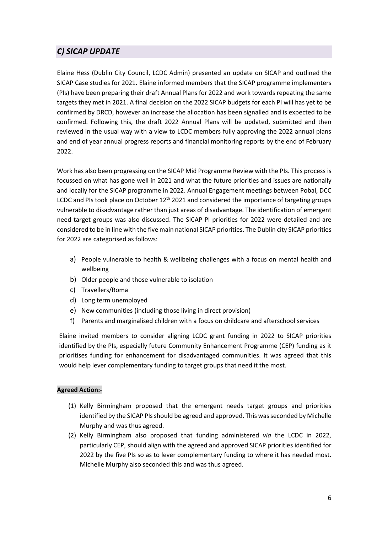# *C) SICAP UPDATE*

Elaine Hess (Dublin City Council, LCDC Admin) presented an update on SICAP and outlined the SICAP Case studies for 2021. Elaine informed members that the SICAP programme implementers (PIs) have been preparing their draft Annual Plans for 2022 and work towards repeating the same targets they met in 2021. A final decision on the 2022 SICAP budgets for each PI will has yet to be confirmed by DRCD, however an increase the allocation has been signalled and is expected to be confirmed. Following this, the draft 2022 Annual Plans will be updated, submitted and then reviewed in the usual way with a view to LCDC members fully approving the 2022 annual plans and end of year annual progress reports and financial monitoring reports by the end of February 2022.

Work has also been progressing on the SICAP Mid Programme Review with the PIs. This process is focussed on what has gone well in 2021 and what the future priorities and issues are nationally and locally for the SICAP programme in 2022. Annual Engagement meetings between Pobal, DCC LCDC and PIs took place on October  $12<sup>th</sup>$  2021 and considered the importance of targeting groups vulnerable to disadvantage rather than just areas of disadvantage. The identification of emergent need target groups was also discussed. The SICAP PI priorities for 2022 were detailed and are considered to be in line with the five main national SICAP priorities. The Dublin city SICAP priorities for 2022 are categorised as follows:

- a) People vulnerable to health & wellbeing challenges with a focus on mental health and wellbeing
- b) Older people and those vulnerable to isolation
- c) Travellers/Roma
- d) Long term unemployed
- e) New communities (including those living in direct provision)
- f) Parents and marginalised children with a focus on childcare and afterschool services

Elaine invited members to consider aligning LCDC grant funding in 2022 to SICAP priorities identified by the PIs, especially future Community Enhancement Programme (CEP) funding as it prioritises funding for enhancement for disadvantaged communities. It was agreed that this would help lever complementary funding to target groups that need it the most.

#### **Agreed Action:-**

- (1) Kelly Birmingham proposed that the emergent needs target groups and priorities identified by the SICAP PIs should be agreed and approved. This was seconded by Michelle Murphy and was thus agreed.
- (2) Kelly Birmingham also proposed that funding administered *via* the LCDC in 2022, particularly CEP, should align with the agreed and approved SICAP priorities identified for 2022 by the five PIs so as to lever complementary funding to where it has needed most. Michelle Murphy also seconded this and was thus agreed.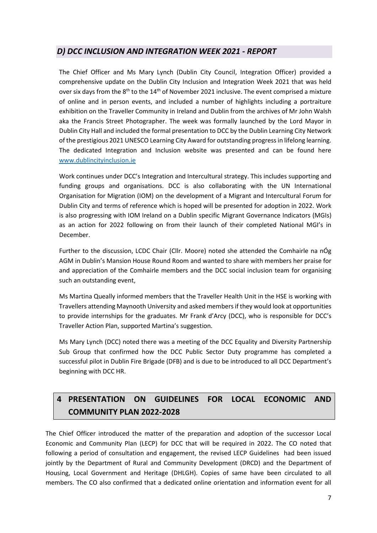## *D) DCC INCLUSION AND INTEGRATION WEEK 2021 - REPORT*

The Chief Officer and Ms Mary Lynch (Dublin City Council, Integration Officer) provided a comprehensive update on the Dublin City Inclusion and Integration Week 2021 that was held over six days from the  $8<sup>th</sup>$  to the  $14<sup>th</sup>$  of November 2021 inclusive. The event comprised a mixture of online and in person events, and included a number of highlights including a portraiture exhibition on the Traveller Community in Ireland and Dublin from the archives of Mr John Walsh aka the Francis Street Photographer. The week was formally launched by the Lord Mayor in Dublin City Hall and included the formal presentation to DCC by the Dublin Learning City Network of the prestigious 2021 UNESCO Learning City Award for outstanding progress in lifelong learning. The dedicated Integration and Inclusion website was presented and can be found here [www.dublincityinclusion.ie](http://www.dublincityinclusion.ie/)

Work continues under DCC's Integration and Intercultural strategy. This includes supporting and funding groups and organisations. DCC is also collaborating with the UN International Organisation for Migration (IOM) on the development of a Migrant and Intercultural Forum for Dublin City and terms of reference which is hoped will be presented for adoption in 2022. Work is also progressing with IOM Ireland on a Dublin specific Migrant Governance Indicators (MGIs) as an action for 2022 following on from their launch of their completed National MGI's in December.

Further to the discussion, LCDC Chair (Cllr. Moore) noted she attended the Comhairle na nÓg AGM in Dublin's Mansion House Round Room and wanted to share with members her praise for and appreciation of the Comhairle members and the DCC social inclusion team for organising such an outstanding event,

Ms Martina Queally informed members that the Traveller Health Unit in the HSE is working with Travellers attending Maynooth University and asked members if they would look at opportunities to provide internships for the graduates. Mr Frank d'Arcy (DCC), who is responsible for DCC's Traveller Action Plan, supported Martina's suggestion.

Ms Mary Lynch (DCC) noted there was a meeting of the DCC Equality and Diversity Partnership Sub Group that confirmed how the DCC Public Sector Duty programme has completed a successful pilot in Dublin Fire Brigade (DFB) and is due to be introduced to all DCC Department's beginning with DCC HR.

# **4 PRESENTATION ON GUIDELINES FOR LOCAL ECONOMIC AND COMMUNITY PLAN 2022-2028**

The Chief Officer introduced the matter of the preparation and adoption of the successor Local Economic and Community Plan (LECP) for DCC that will be required in 2022. The CO noted that following a period of consultation and engagement, the revised LECP Guidelines had been issued jointly by the Department of Rural and Community Development (DRCD) and the Department of Housing, Local Government and Heritage (DHLGH). Copies of same have been circulated to all members. The CO also confirmed that a dedicated online orientation and information event for all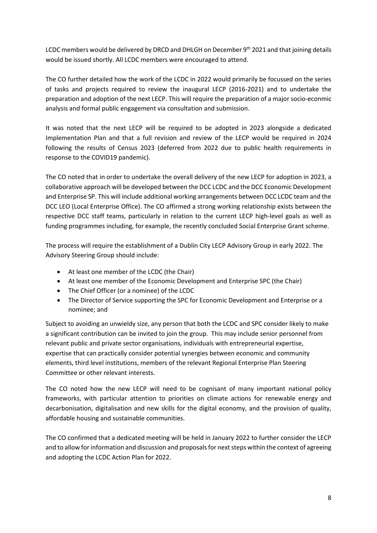LCDC members would be delivered by DRCD and DHLGH on December 9<sup>th</sup> 2021 and that joining details would be issued shortly. All LCDC members were encouraged to attend.

The CO further detailed how the work of the LCDC in 2022 would primarily be focussed on the series of tasks and projects required to review the inaugural LECP (2016-2021) and to undertake the preparation and adoption of the next LECP. This will require the preparation of a major socio-econmic analysis and formal public engagement via consultation and submission.

It was noted that the next LECP will be required to be adopted in 2023 alongside a dedicated Implementation Plan and that a full revision and review of the LECP would be required in 2024 following the results of Census 2023 (deferred from 2022 due to public health requirements in response to the COVID19 pandemic).

The CO noted that in order to undertake the overall delivery of the new LECP for adoption in 2023, a collaborative approach will be developed between the DCC LCDC and the DCC Economic Development and Enterprise SP. This will include additional working arrangements between DCC LCDC team and the DCC LEO (Local Enterprise Office). The CO affirmed a strong working relationship exists between the respective DCC staff teams, particularly in relation to the current LECP high-level goals as well as funding programmes including, for example, the recently concluded Social Enterprise Grant scheme.

The process will require the establishment of a Dublin City LECP Advisory Group in early 2022. The Advisory Steering Group should include:

- At least one member of the LCDC (the Chair)
- At least one member of the Economic Development and Enterprise SPC (the Chair)
- The Chief Officer (or a nominee) of the LCDC
- The Director of Service supporting the SPC for Economic Development and Enterprise or a nominee; and

Subject to avoiding an unwieldy size, any person that both the LCDC and SPC consider likely to make a significant contribution can be invited to join the group. This may include senior personnel from relevant public and private sector organisations, individuals with entrepreneurial expertise, expertise that can practically consider potential synergies between economic and community elements, third level institutions, members of the relevant Regional Enterprise Plan Steering Committee or other relevant interests.

The CO noted how the new LECP will need to be cognisant of many important national policy frameworks, with particular attention to priorities on climate actions for renewable energy and decarbonisation, digitalisation and new skills for the digital economy, and the provision of quality, affordable housing and sustainable communities.

The CO confirmed that a dedicated meeting will be held in January 2022 to further consider the LECP and to allow for information and discussion and proposals for next steps within the context of agreeing and adopting the LCDC Action Plan for 2022.